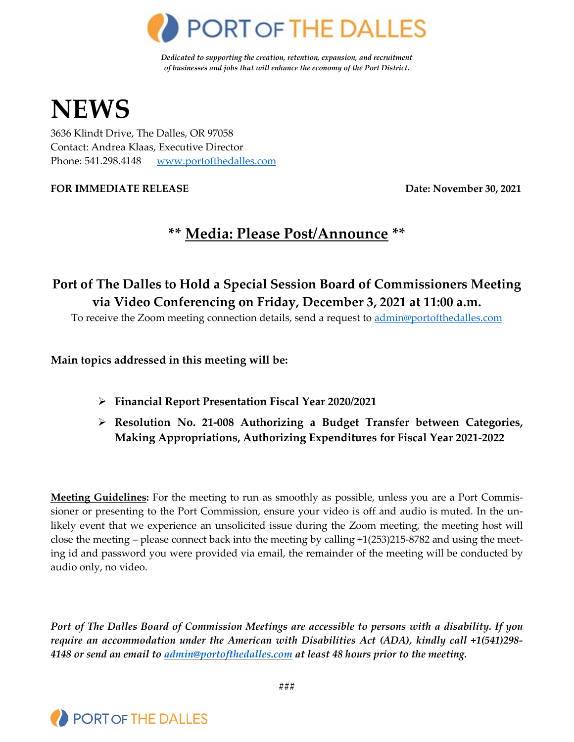

*Dedicated to supporting the creation, retention, expansion, and recruitment of businesses and jobs that will enhance the economy of the Port District.*

# **NEWS**

3636 Klindt Drive, The Dalles, OR 97058 Contact: Andrea Klaas, Executive Director Phone: 541.298.4148 [www.portofthedalles.com](http://www.portofthedalles.com/)

**FOR IMMEDIATE RELEASE Date: November 30, 2021**

# **\*\* Media: Please Post/Announce \*\***

## **Port of The Dalles to Hold a Special Session Board of Commissioners Meeting via Video Conferencing on Friday, December 3, 2021 at 11:00 a.m.**

To receive the Zoom meeting connection details, send a request to [admin@portofthedalles.com](mailto:admin@portofthedalles.com)

**Main topics addressed in this meeting will be:**

- **Financial Report Presentation Fiscal Year 2020/2021**
- **Resolution No. 21-008 Authorizing a Budget Transfer between Categories, Making Appropriations, Authorizing Expenditures for Fiscal Year 2021-2022**

**Meeting Guidelines:** For the meeting to run as smoothly as possible, unless you are a Port Commissioner or presenting to the Port Commission, ensure your video is off and audio is muted. In the unlikely event that we experience an unsolicited issue during the Zoom meeting, the meeting host will close the meeting – please connect back into the meeting by calling +1(253)215-8782 and using the meeting id and password you were provided via email, the remainder of the meeting will be conducted by audio only, no video.

*Port of The Dalles Board of Commission Meetings are accessible to persons with a disability. If you require an accommodation under the American with Disabilities Act (ADA), kindly call +1(541)298- 4148 or send an email to [admin@portofthedalles.com](mailto:admin@portofthedalles.com) at least 48 hours prior to the meeting.*



**###**